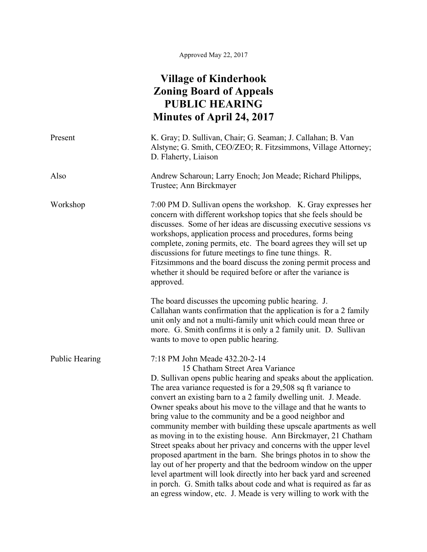## **Village of Kinderhook Zoning Board of Appeals PUBLIC HEARING Minutes of April 24, 2017**

| Present               | K. Gray; D. Sullivan, Chair; G. Seaman; J. Callahan; B. Van<br>Alstyne; G. Smith, CEO/ZEO; R. Fitzsimmons, Village Attorney;<br>D. Flaherty, Liaison                                                                                                                                                                                                                                                                                                                                                                                                                                                                                                                                                                                                                                                                                                                                                                                                                        |
|-----------------------|-----------------------------------------------------------------------------------------------------------------------------------------------------------------------------------------------------------------------------------------------------------------------------------------------------------------------------------------------------------------------------------------------------------------------------------------------------------------------------------------------------------------------------------------------------------------------------------------------------------------------------------------------------------------------------------------------------------------------------------------------------------------------------------------------------------------------------------------------------------------------------------------------------------------------------------------------------------------------------|
| Also                  | Andrew Scharoun; Larry Enoch; Jon Meade; Richard Philipps,<br>Trustee; Ann Birckmayer                                                                                                                                                                                                                                                                                                                                                                                                                                                                                                                                                                                                                                                                                                                                                                                                                                                                                       |
| Workshop              | 7:00 PM D. Sullivan opens the workshop. K. Gray expresses her<br>concern with different workshop topics that she feels should be<br>discusses. Some of her ideas are discussing executive sessions vs<br>workshops, application process and procedures, forms being<br>complete, zoning permits, etc. The board agrees they will set up<br>discussions for future meetings to fine tune things. R.<br>Fitzsimmons and the board discuss the zoning permit process and<br>whether it should be required before or after the variance is<br>approved.                                                                                                                                                                                                                                                                                                                                                                                                                         |
|                       | The board discusses the upcoming public hearing. J.<br>Callahan wants confirmation that the application is for a 2 family<br>unit only and not a multi-family unit which could mean three or<br>more. G. Smith confirms it is only a 2 family unit. D. Sullivan<br>wants to move to open public hearing.                                                                                                                                                                                                                                                                                                                                                                                                                                                                                                                                                                                                                                                                    |
| <b>Public Hearing</b> | 7:18 PM John Meade 432.20-2-14<br>15 Chatham Street Area Variance<br>D. Sullivan opens public hearing and speaks about the application.<br>The area variance requested is for a 29,508 sq ft variance to<br>convert an existing barn to a 2 family dwelling unit. J. Meade.<br>Owner speaks about his move to the village and that he wants to<br>bring value to the community and be a good neighbor and<br>community member with building these upscale apartments as well<br>as moving in to the existing house. Ann Birckmayer, 21 Chatham<br>Street speaks about her privacy and concerns with the upper level<br>proposed apartment in the barn. She brings photos in to show the<br>lay out of her property and that the bedroom window on the upper<br>level apartment will look directly into her back yard and screened<br>in porch. G. Smith talks about code and what is required as far as<br>an egress window, etc. J. Meade is very willing to work with the |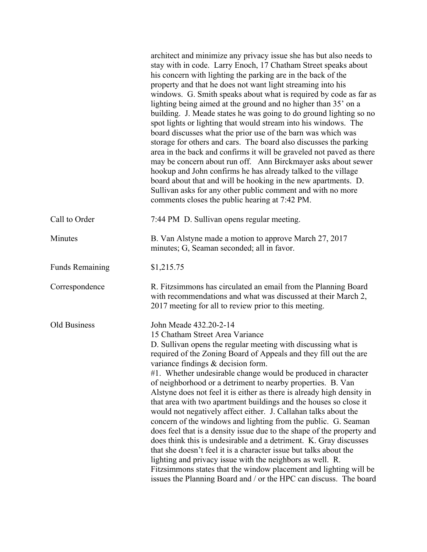|                        | architect and minimize any privacy issue she has but also needs to<br>stay with in code. Larry Enoch, 17 Chatham Street speaks about<br>his concern with lighting the parking are in the back of the<br>property and that he does not want light streaming into his<br>windows. G. Smith speaks about what is required by code as far as<br>lighting being aimed at the ground and no higher than 35' on a<br>building. J. Meade states he was going to do ground lighting so no<br>spot lights or lighting that would stream into his windows. The<br>board discusses what the prior use of the barn was which was<br>storage for others and cars. The board also discusses the parking<br>area in the back and confirms it will be graveled not paved as there<br>may be concern about run off. Ann Birckmayer asks about sewer<br>hookup and John confirms he has already talked to the village<br>board about that and will be hooking in the new apartments. D.<br>Sullivan asks for any other public comment and with no more<br>comments closes the public hearing at 7:42 PM. |
|------------------------|---------------------------------------------------------------------------------------------------------------------------------------------------------------------------------------------------------------------------------------------------------------------------------------------------------------------------------------------------------------------------------------------------------------------------------------------------------------------------------------------------------------------------------------------------------------------------------------------------------------------------------------------------------------------------------------------------------------------------------------------------------------------------------------------------------------------------------------------------------------------------------------------------------------------------------------------------------------------------------------------------------------------------------------------------------------------------------------|
| Call to Order          | 7:44 PM D. Sullivan opens regular meeting.                                                                                                                                                                                                                                                                                                                                                                                                                                                                                                                                                                                                                                                                                                                                                                                                                                                                                                                                                                                                                                            |
| Minutes                | B. Van Alstyne made a motion to approve March 27, 2017<br>minutes; G, Seaman seconded; all in favor.                                                                                                                                                                                                                                                                                                                                                                                                                                                                                                                                                                                                                                                                                                                                                                                                                                                                                                                                                                                  |
| <b>Funds Remaining</b> | \$1,215.75                                                                                                                                                                                                                                                                                                                                                                                                                                                                                                                                                                                                                                                                                                                                                                                                                                                                                                                                                                                                                                                                            |
| Correspondence         | R. Fitzsimmons has circulated an email from the Planning Board<br>with recommendations and what was discussed at their March 2,<br>2017 meeting for all to review prior to this meeting.                                                                                                                                                                                                                                                                                                                                                                                                                                                                                                                                                                                                                                                                                                                                                                                                                                                                                              |
| Old Business           | John Meade 432.20-2-14<br>15 Chatham Street Area Variance<br>D. Sullivan opens the regular meeting with discussing what is<br>required of the Zoning Board of Appeals and they fill out the are<br>variance findings & decision form.<br>#1. Whether undesirable change would be produced in character<br>of neighborhood or a detriment to nearby properties. B. Van<br>Alstyne does not feel it is either as there is already high density in<br>that area with two apartment buildings and the houses so close it<br>would not negatively affect either. J. Callahan talks about the<br>concern of the windows and lighting from the public. G. Seaman<br>does feel that is a density issue due to the shape of the property and<br>does think this is undesirable and a detriment. K. Gray discusses<br>that she doesn't feel it is a character issue but talks about the<br>lighting and privacy issue with the neighbors as well. R.<br>Fitzsimmons states that the window placement and lighting will be<br>issues the Planning Board and / or the HPC can discuss. The board  |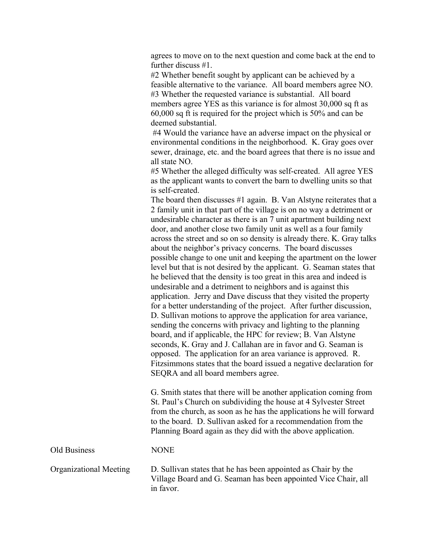agrees to move on to the next question and come back at the end to further discuss #1.

#2 Whether benefit sought by applicant can be achieved by a feasible alternative to the variance. All board members agree NO. #3 Whether the requested variance is substantial. All board members agree YES as this variance is for almost 30,000 sq ft as 60,000 sq ft is required for the project which is 50% and can be deemed substantial.

#4 Would the variance have an adverse impact on the physical or environmental conditions in the neighborhood. K. Gray goes over sewer, drainage, etc. and the board agrees that there is no issue and all state NO.

#5 Whether the alleged difficulty was self-created. All agree YES as the applicant wants to convert the barn to dwelling units so that is self-created.

The board then discusses #1 again. B. Van Alstyne reiterates that a 2 family unit in that part of the village is on no way a detriment or undesirable character as there is an 7 unit apartment building next door, and another close two family unit as well as a four family across the street and so on so density is already there. K. Gray talks about the neighbor's privacy concerns. The board discusses possible change to one unit and keeping the apartment on the lower level but that is not desired by the applicant. G. Seaman states that he believed that the density is too great in this area and indeed is undesirable and a detriment to neighbors and is against this application. Jerry and Dave discuss that they visited the property for a better understanding of the project. After further discussion, D. Sullivan motions to approve the application for area variance, sending the concerns with privacy and lighting to the planning board, and if applicable, the HPC for review; B. Van Alstyne seconds, K. Gray and J. Callahan are in favor and G. Seaman is opposed. The application for an area variance is approved. R. Fitzsimmons states that the board issued a negative declaration for SEQRA and all board members agree.

G. Smith states that there will be another application coming from St. Paul's Church on subdividing the house at 4 Sylvester Street from the church, as soon as he has the applications he will forward to the board. D. Sullivan asked for a recommendation from the Planning Board again as they did with the above application.

Old Business NONE

Organizational Meeting D. Sullivan states that he has been appointed as Chair by the Village Board and G. Seaman has been appointed Vice Chair, all in favor.